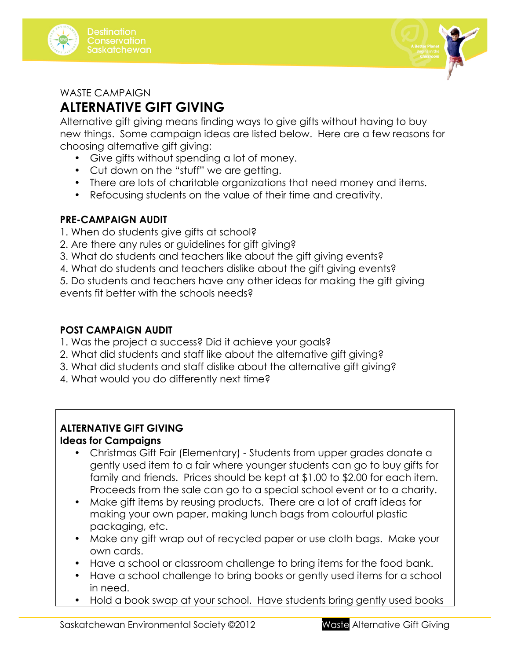



#### WASTE CAMPAIGN

# **ALTERNATIVE GIFT GIVING**

Alternative gift giving means finding ways to give gifts without having to buy new things. Some campaign ideas are listed below. Here are a few reasons for choosing alternative gift giving:

- Give gifts without spending a lot of money.
- Cut down on the "stuff" we are getting.
- There are lots of charitable organizations that need money and items.
- Refocusing students on the value of their time and creativity.

## **PRE-CAMPAIGN AUDIT**

- 1. When do students give gifts at school?
- 2. Are there any rules or guidelines for gift giving?
- 3. What do students and teachers like about the gift giving events?
- 4. What do students and teachers dislike about the gift giving events?

5. Do students and teachers have any other ideas for making the gift giving events fit better with the schools needs?

## **POST CAMPAIGN AUDIT**

- 1. Was the project a success? Did it achieve your goals?
- 2. What did students and staff like about the alternative gift giving?
- 3. What did students and staff dislike about the alternative gift giving?
- 4. What would you do differently next time?

## **ALTERNATIVE GIFT GIVING**

#### **Ideas for Campaigns**

- Christmas Gift Fair (Elementary) Students from upper grades donate a gently used item to a fair where younger students can go to buy gifts for family and friends. Prices should be kept at \$1.00 to \$2.00 for each item. Proceeds from the sale can go to a special school event or to a charity.
- Make gift items by reusing products. There are a lot of craft ideas for making your own paper, making lunch bags from colourful plastic packaging, etc.
- Make any gift wrap out of recycled paper or use cloth bags. Make your own cards.
- Have a school or classroom challenge to bring items for the food bank.
- Have a school challenge to bring books or gently used items for a school in need.
- Hold a book swap at your school. Have students bring gently used books